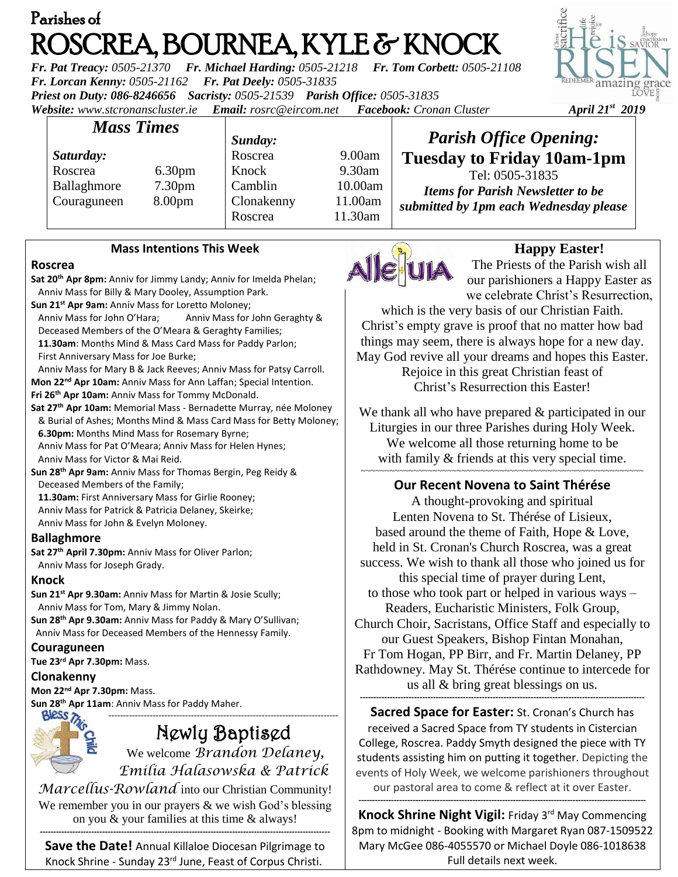# Parishes of ROSCREA, BOURNEA, KYLE & KNOCK

*Fr. Pat Treacy: 0505-21370 Fr. Michael Harding: 0505-21218 Fr. Tom Corbett: 0505-21108 Fr. Lorcan Kenny: 0505-21162 Fr. Pat Deely: 0505-31835 Priest on Duty: 086-8246656 Sacristy: 0505-21539 Parish Office: 0505-31835 Website: [www.stcronanscluster.ie](http://www.stcronanscluster.ie/) Email: [rosrc@eircom.net](mailto:rosrc@eircom.net) Facebook: Cronan Cluster April 21st 2019*



| <b>Mass Times</b> |                    | Sunday:    |         | <b>Parish Office Opening:</b>            |
|-------------------|--------------------|------------|---------|------------------------------------------|
| Saturday:         |                    | Roscrea    | 9.00am  | <b>Tuesday to Friday 10am-1pm</b>        |
| Roscrea           | 6.30 <sub>pm</sub> | Knock      | 9.30am  | Tel: 0505-31835                          |
| Ballaghmore       | 7.30 <sub>pm</sub> | Camblin    | 10.00am | <b>Items for Parish Newsletter to be</b> |
| Couraguneen       | 8.00 <sub>pm</sub> | Clonakenny | 11.00am | submitted by 1pm each Wednesday please   |
|                   |                    | Roscrea    | 11.30am |                                          |

#### **Mass Intentions This Week**

#### **Roscrea**

**Sat 20th Apr 8pm:** Anniv for Jimmy Landy; Anniv for Imelda Phelan; Anniv Mass for Billy & Mary Dooley, Assumption Park.

**Sun 21st Apr 9am:** Anniv Mass for Loretto Moloney;

 Anniv Mass for John O'Hara; Anniv Mass for John Geraghty & Deceased Members of the O'Meara & Geraghty Families;

 **11.30am**: Months Mind & Mass Card Mass for Paddy Parlon; First Anniversary Mass for Joe Burke;

 Anniv Mass for Mary B & Jack Reeves; Anniv Mass for Patsy Carroll. **Mon 22nd Apr 10am:** Anniv Mass for Ann Laffan; Special Intention.

**Fri 26th Apr 10am:** Anniv Mass for Tommy McDonald.

**Sat 27th Apr 10am:** Memorial Mass - Bernadette Murray, née Moloney & Burial of Ashes; Months Mind & Mass Card Mass for Betty Moloney; **6.30pm:** Months Mind Mass for Rosemary Byrne;

 Anniv Mass for Pat O'Meara; Anniv Mass for Helen Hynes; Anniv Mass for Victor & Mai Reid.

**Sun 28th Apr 9am:** Anniv Mass for Thomas Bergin, Peg Reidy & Deceased Members of the Family;

 **11.30am:** First Anniversary Mass for Girlie Rooney; Anniv Mass for Patrick & Patricia Delaney, Skeirke;

Anniv Mass for John & Evelyn Moloney.

# **Ballaghmore**

**Sat 27th April 7.30pm:** Anniv Mass for Oliver Parlon;

Anniv Mass for Joseph Grady.

#### **Knock**

**Sun 21st Apr 9.30am:** Anniv Mass for Martin & Josie Scully; Anniv Mass for Tom, Mary & Jimmy Nolan. **Sun 28th Apr 9.30am:** Anniv Mass for Paddy & Mary O'Sullivan;

Anniv Mass for Deceased Members of the Hennessy Family.

# **Couraguneen**

**Tue 23rd Apr 7.30pm:** Mass.

#### **Clonakenny**

**Mon 22nd Apr 7.30pm:** Mass.

**Sun 28 th Apr 11am**: Anniv Mass for Paddy Maher.

# ------------------------------------------------------------------------------ Newly Baptised

We welcome *Brandon Delaney, Emilia Halasowska & Patrick* 

*Marcellus-Rowland* into our Christian Community! We remember you in our prayers & we wish God's blessing on you & your families at this time & always!

**----------------------------------------------------------------------------------------------------------- Save the Date!** Annual Killaloe Diocesan Pilgrimage to Knock Shrine - Sunday 23rd June, Feast of Corpus Christi.



# **Happy Easter!**

The Priests of the Parish wish all our parishioners a Happy Easter as we celebrate Christ's Resurrection,

which is the very basis of our Christian Faith. Christ's empty grave is proof that no matter how bad things may seem, there is always hope for a new day. May God revive all your dreams and hopes this Easter.

Rejoice in this great Christian feast of Christ's Resurrection this Easter!

We thank all who have prepared  $\&$  participated in our Liturgies in our three Parishes during Holy Week. We welcome all those returning home to be with family  $&$  friends at this very special time. ~~~~~~~~~~~~~~~~~~~~~~~~~~~~~~~~~~~~~~~~~~~~~~~~~~~~~~~~~~~

# **Our Recent Novena to Saint Thérése**

A thought-provoking and spiritual Lenten Novena to St. Thérése of Lisieux, based around the theme of Faith, Hope & Love, held in St. Cronan's Church Roscrea, was a great success. We wish to thank all those who joined us for this special time of prayer during Lent, to those who took part or helped in various ways – Readers, Eucharistic Ministers, Folk Group, Church Choir, Sacristans, Office Staff and especially to our Guest Speakers, Bishop Fintan Monahan, Fr Tom Hogan, PP Birr, and Fr. Martin Delaney, PP Rathdowney. May St. Thérése continue to intercede for us all & bring great blessings on us. **---------------------------------------------------------------------------------------------------------**

**Sacred Space for Easter:** St. Cronan's Church has received a Sacred Space from TY students in Cistercian College, Roscrea. Paddy Smyth designed the piece with TY students assisting him on putting it together. Depicting the events of Holy Week, we welcome parishioners throughout our pastoral area to come & reflect at it over Easter.

**Knock Shrine Night Vigil:** Friday 3<sup>rd</sup> May Commencing 8pm to midnight - Booking with Margaret Ryan 087-1509522 Mary McGee 086-4055570 or Michael Doyle 086-1018638 Full details next week.

**----------------------------------------------------------------------------------------------------------**